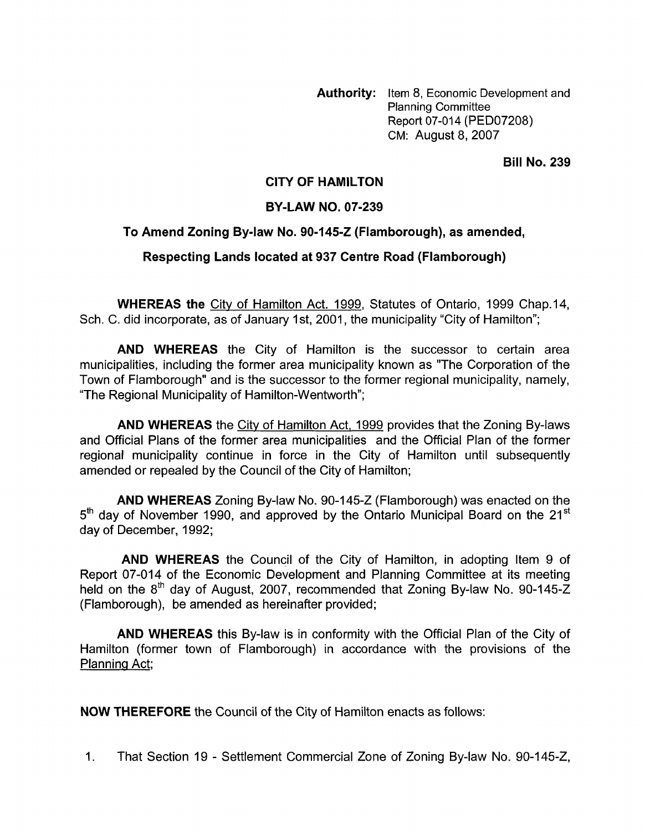**Authority:** Item 8, Economic Development **and**  Planning Committee Report 07-014 (PED07208) CM: August 8,2007

**Bill No. 239** 

## **CITY OF HAMILTON**

## **BY-LAW NO. 07-239**

## **To Amend Zoning Bylaw No. 90-145-2 (Flamborough), as amended,**

## **Respecting Lands located at 937 Centre Road (Flamborough)**

**WHEREAS the** City of Hamilton Act. 1999, Statutes of Ontario, 1999 Chap.14, Sch. C. did incorporate, as of January 1st, 2001, the municipality "City of Hamilton";

**AND WHEREAS** the City of Hamilton is the successor to certain area municipalities, including the former area municipality known as "The Corporation of the Town of Flamborough" and is the successor to the former regional municipality, namely, "The Regional Municipality of Hamilton-Wentworth";

**AND WHEREAS** the City of Hamilton Act, 1999 provides that the Zoning By-laws and Official Plans of the former area municipalities and the Official Plan of the former regional municipality continue in force in the City of Hamilton until subsequently amended or repealed by the Council of the City of Hamilton;

**AND WHEREAS** Zoning By-law No. 90-145-2 (Flamborough) was enacted on the  $5<sup>th</sup>$  day of November 1990, and approved by the Ontario Municipal Board on the 21<sup>st</sup> day of December, 1992;

**AND WHEREAS** the Council of the City of Hamilton, in adopting Item 9 of Report 07-014 of the Economic Development and Planning Committee at its meeting held on the 8<sup>th</sup> day of August, 2007, recommended that Zoning By-law No. 90-145-Z (Flamborough), be amended as hereinafter provided;

**AND WHEREAS** this By-law is in conformity with the Official Plan of the City of Hamilton (former town of Flamborough) in accordance with the provisions of the Planning Act;

**NOW THEREFORE** the Council of the City of Hamilton enacts as follows:

1. That Section 19 - Settlement Commercial Zone of Zoning By-law No. 90-145-Z.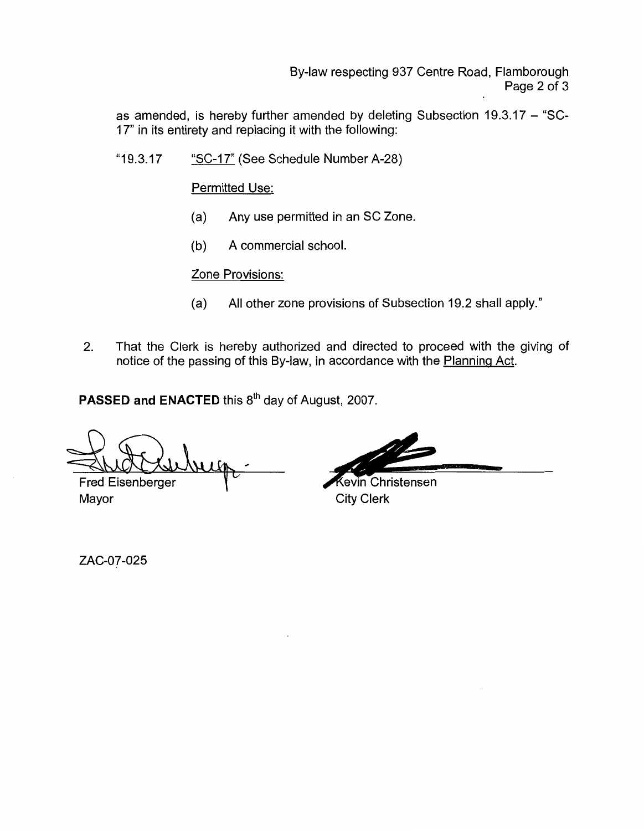By-law respecting 937 Centre Road, Flamborough Page 2 of 3

as amended, is hereby further amended by deleting Subsection 19.3.17 - "SC-17" in its entirety and replacing it with the following:

"1 9.3.1 7 "SC-17" (See Schedule Number A-28)

Permitted Use:

- (a) Any use permitted in an SC Zone.
- (b) A commercial school.

Zone Provisions:

- (a) All other zone provisions of Subsection 19.2 shall apply."
- 2. That the Clerk is hereby authorized and directed to proceed with the giving of notice of the passing of this By-law, in accordance with the Planning Act.

**PASSED and ENACTED** this 8<sup>th</sup> day of August, 2007.

**n**  Fred Eisenberger

**Kevin Christensen** Mayor City Clerk

ZAC-07-025